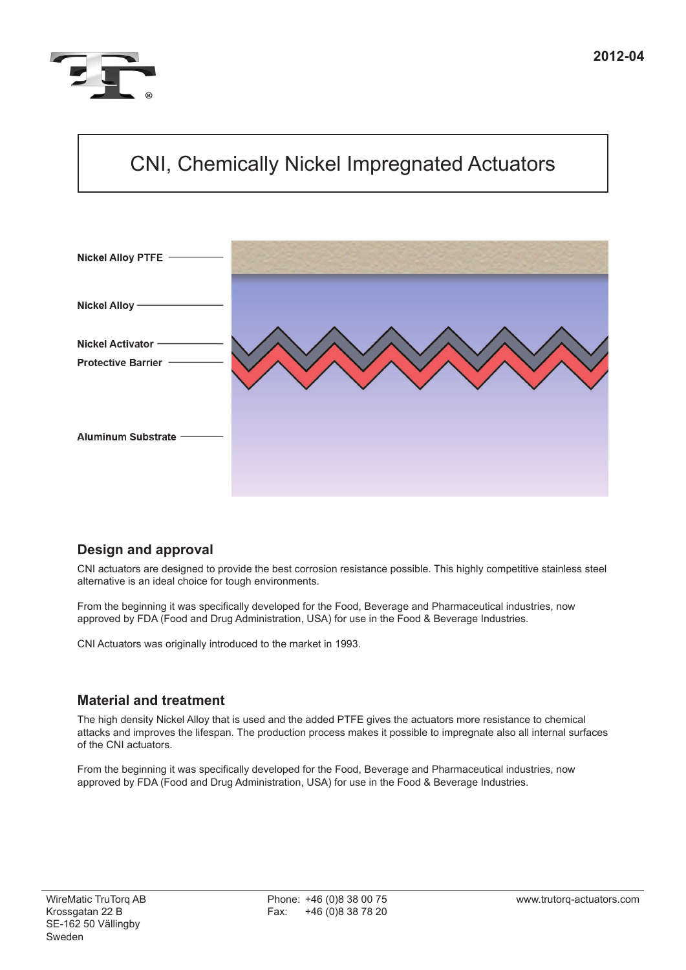

# CNI, Chemically Nickel Impregnated Actuators



## **Design and approval**

CNI actuators are designed to provide the best corrosion resistance possible. This highly competitive stainless steel alternative is an ideal choice for tough environments.

From the beginning it was specifically developed for the Food, Beverage and Pharmaceutical industries, now approved by FDA (Food and Drug Administration, USA) for use in the Food & Beverage Industries.

CNI Actuators was originally introduced to the market in 1993.

## **Material and treatment**

The high density Nickel Alloy that is used and the added PTFE gives the actuators more resistance to chemical attacks and improves the lifespan. The production process makes it possible to impregnate also all internal surfaces of the CNI actuators.

From the beginning it was specifically developed for the Food, Beverage and Pharmaceutical industries, now approved by FDA (Food and Drug Administration, USA) for use in the Food & Beverage Industries.